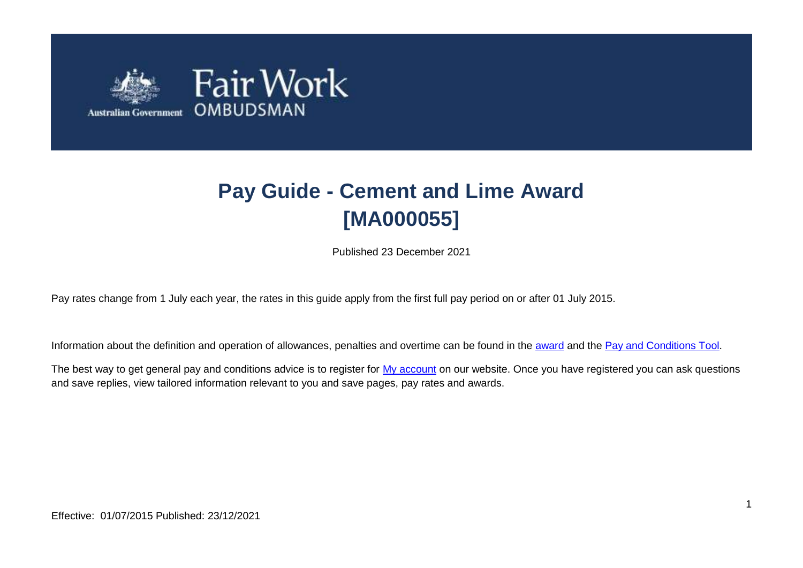

# **Pay Guide - Cement and Lime Award [MA000055]**

Published 23 December 2021

Pay rates change from 1 July each year, the rates in this guide apply from the first full pay period on or after 01 July 2015.

Information about the definition and operation of allowances, penalties and overtime can be found in the [award](https://www.fairwork.gov.au/awards-and-agreements/awards/list-of-awards) and the [Pay and Conditions Tool.](https://calculate.fairwork.gov.au/)

The best way to get general pay and conditions advice is to register for [My account](https://www.fairwork.gov.au/my-account/registerpage.aspx) on our website. Once you have registered you can ask questions and save replies, view tailored information relevant to you and save pages, pay rates and awards.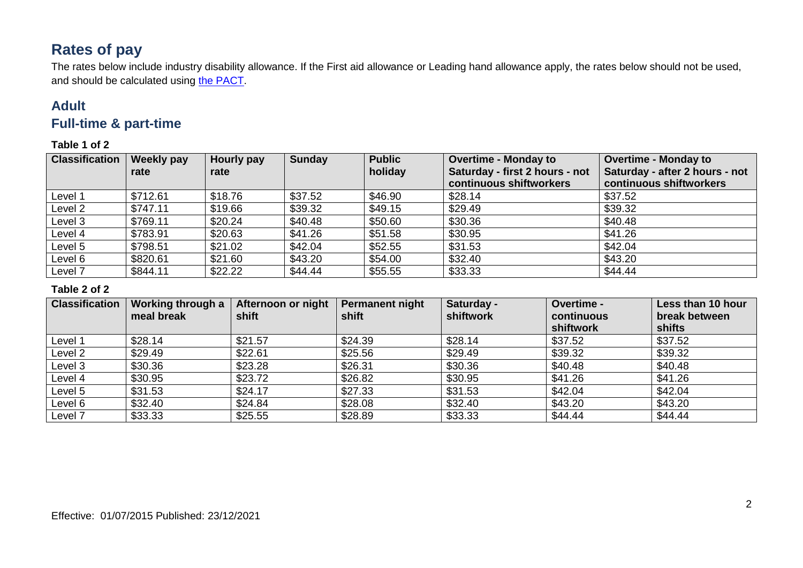# **Rates of pay**

The rates below include industry disability allowance. If the First aid allowance or Leading hand allowance apply, the rates below should not be used, and should be calculated using [the PACT.](https://calculate.fairwork.gov.au/)

## **Adult**

## **Full-time & part-time**

**Table 1 of 2**

| <b>Classification</b> | <b>Weekly pay</b><br>rate | Hourly pay<br>rate | <b>Sunday</b> | <b>Public</b><br>holiday | <b>Overtime - Monday to</b><br>Saturday - first 2 hours - not<br>continuous shiftworkers | <b>Overtime - Monday to</b><br>Saturday - after 2 hours - not<br>continuous shiftworkers |
|-----------------------|---------------------------|--------------------|---------------|--------------------------|------------------------------------------------------------------------------------------|------------------------------------------------------------------------------------------|
| Level 1               | \$712.61                  | \$18.76            | \$37.52       | \$46.90                  | \$28.14                                                                                  | \$37.52                                                                                  |
| Level 2               | \$747.11                  | \$19.66            | \$39.32       | \$49.15                  | \$29.49                                                                                  | \$39.32                                                                                  |
| Level 3               | \$769.11                  | \$20.24            | \$40.48       | \$50.60                  | \$30.36                                                                                  | \$40.48                                                                                  |
| Level 4               | \$783.91                  | \$20.63            | \$41.26       | \$51.58                  | \$30.95                                                                                  | \$41.26                                                                                  |
| Level 5               | \$798.51                  | \$21.02            | \$42.04       | \$52.55                  | \$31.53                                                                                  | \$42.04                                                                                  |
| Level 6               | \$820.61                  | \$21.60            | \$43.20       | \$54.00                  | \$32.40                                                                                  | \$43.20                                                                                  |
| Level 7               | \$844.11                  | \$22.22            | \$44.44       | \$55.55                  | \$33.33                                                                                  | \$44.44                                                                                  |

#### **Table 2 of 2**

| <b>Classification</b> | Working through a<br>meal break | Afternoon or night<br>shift | <b>Permanent night</b><br>shift | Saturday -<br>shiftwork | Overtime -<br>continuous<br>shiftwork | Less than 10 hour<br>break between<br><b>shifts</b> |
|-----------------------|---------------------------------|-----------------------------|---------------------------------|-------------------------|---------------------------------------|-----------------------------------------------------|
| Level 1               | \$28.14                         | \$21.57                     | \$24.39                         | \$28.14                 | \$37.52                               | \$37.52                                             |
| Level 2               | \$29.49                         | \$22.61                     | \$25.56                         | \$29.49                 | \$39.32                               | \$39.32                                             |
| Level 3               | \$30.36                         | \$23.28                     | \$26.31                         | \$30.36                 | \$40.48                               | \$40.48                                             |
| Level 4               | \$30.95                         | \$23.72                     | \$26.82                         | \$30.95                 | \$41.26                               | \$41.26                                             |
| Level 5               | \$31.53                         | \$24.17                     | \$27.33                         | \$31.53                 | \$42.04                               | \$42.04                                             |
| Level 6               | \$32.40                         | \$24.84                     | \$28.08                         | \$32.40                 | \$43.20                               | \$43.20                                             |
| Level 7               | \$33.33                         | \$25.55                     | \$28.89                         | \$33.33                 | \$44.44                               | \$44.44                                             |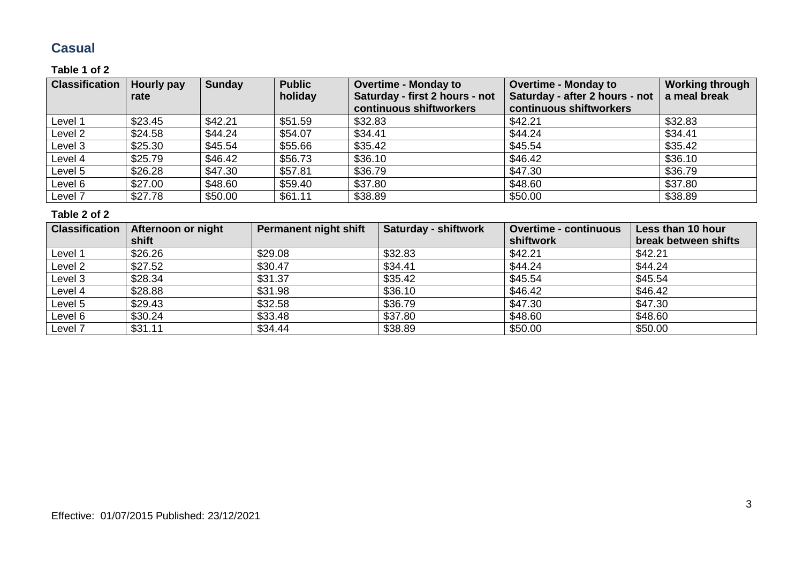## **Casual**

#### **Table 1 of 2**

| <b>Classification</b> | Hourly pay<br>rate | <b>Sunday</b> | <b>Public</b><br>holiday | <b>Overtime - Monday to</b><br>Saturday - first 2 hours - not<br>continuous shiftworkers | <b>Overtime - Monday to</b><br>Saturday - after 2 hours - not<br>continuous shiftworkers | <b>Working through</b><br>a meal break |
|-----------------------|--------------------|---------------|--------------------------|------------------------------------------------------------------------------------------|------------------------------------------------------------------------------------------|----------------------------------------|
| Level 1               | \$23.45            | \$42.21       | \$51.59                  | \$32.83                                                                                  | \$42.21                                                                                  | \$32.83                                |
| Level 2               | \$24.58            | \$44.24       | \$54.07                  | \$34.41                                                                                  | \$44.24                                                                                  | \$34.41                                |
| Level 3               | \$25.30            | \$45.54       | \$55.66                  | \$35.42                                                                                  | \$45.54                                                                                  | \$35.42                                |
| Level 4               | \$25.79            | \$46.42       | \$56.73                  | \$36.10                                                                                  | \$46.42                                                                                  | \$36.10                                |
| Level 5               | \$26.28            | \$47.30       | \$57.81                  | \$36.79                                                                                  | \$47.30                                                                                  | \$36.79                                |
| Level 6               | \$27.00            | \$48.60       | \$59.40                  | \$37.80                                                                                  | \$48.60                                                                                  | \$37.80                                |
| Level 7               | \$27.78            | \$50.00       | \$61.11                  | \$38.89                                                                                  | \$50.00                                                                                  | \$38.89                                |

#### **Table 2 of 2**

| <b>Classification</b> | Afternoon or night | <b>Permanent night shift</b> | <b>Saturday - shiftwork</b> | <b>Overtime - continuous</b> | Less than 10 hour    |
|-----------------------|--------------------|------------------------------|-----------------------------|------------------------------|----------------------|
|                       | shift              |                              |                             | shiftwork                    | break between shifts |
| Level 1               | \$26.26            | \$29.08                      | \$32.83                     | \$42.21                      | \$42.21              |
| Level 2               | \$27.52            | \$30.47                      | \$34.41                     | \$44.24                      | \$44.24              |
| Level 3               | \$28.34            | \$31.37                      | \$35.42                     | \$45.54                      | \$45.54              |
| Level 4               | \$28.88            | \$31.98                      | \$36.10                     | \$46.42                      | \$46.42              |
| Level 5               | \$29.43            | \$32.58                      | \$36.79                     | \$47.30                      | \$47.30              |
| Level 6               | \$30.24            | \$33.48                      | \$37.80                     | \$48.60                      | \$48.60              |
| Level 7               | \$31.11            | \$34.44                      | \$38.89                     | \$50.00                      | \$50.00              |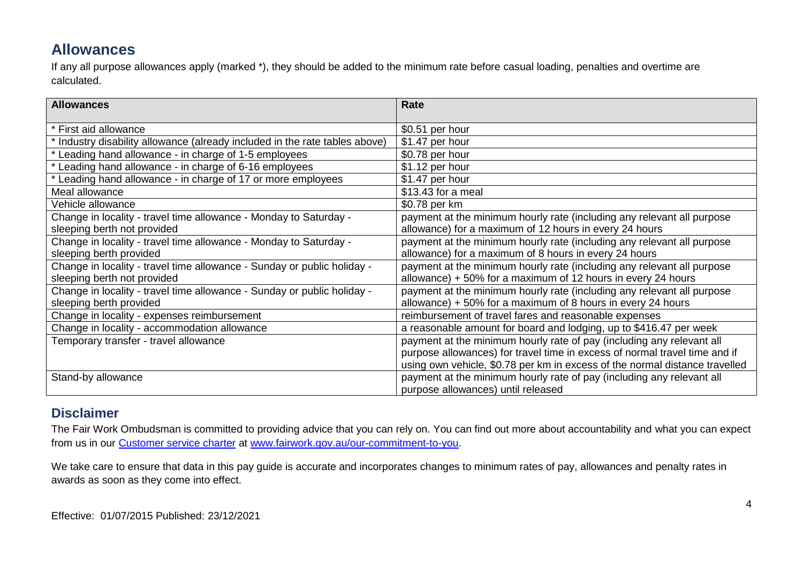## **Allowances**

If any all purpose allowances apply (marked \*), they should be added to the minimum rate before casual loading, penalties and overtime are calculated.

| <b>Allowances</b>                                                         | Rate                                                                        |
|---------------------------------------------------------------------------|-----------------------------------------------------------------------------|
| First aid allowance                                                       | \$0.51 per hour                                                             |
| Industry disability allowance (already included in the rate tables above) | \$1.47 per hour                                                             |
| Leading hand allowance - in charge of 1-5 employees                       | \$0.78 per hour                                                             |
| Leading hand allowance - in charge of 6-16 employees                      | \$1.12 per hour                                                             |
| Leading hand allowance - in charge of 17 or more employees                | \$1.47 per hour                                                             |
| Meal allowance                                                            | \$13.43 for a meal                                                          |
| Vehicle allowance                                                         | \$0.78 per km                                                               |
| Change in locality - travel time allowance - Monday to Saturday -         | payment at the minimum hourly rate (including any relevant all purpose      |
| sleeping berth not provided                                               | allowance) for a maximum of 12 hours in every 24 hours                      |
| Change in locality - travel time allowance - Monday to Saturday -         | payment at the minimum hourly rate (including any relevant all purpose      |
| sleeping berth provided                                                   | allowance) for a maximum of 8 hours in every 24 hours                       |
| Change in locality - travel time allowance - Sunday or public holiday -   | payment at the minimum hourly rate (including any relevant all purpose      |
| sleeping berth not provided                                               | allowance) + 50% for a maximum of 12 hours in every 24 hours                |
| Change in locality - travel time allowance - Sunday or public holiday -   | payment at the minimum hourly rate (including any relevant all purpose      |
| sleeping berth provided                                                   | allowance) $+50\%$ for a maximum of 8 hours in every 24 hours               |
| Change in locality - expenses reimbursement                               | reimbursement of travel fares and reasonable expenses                       |
| Change in locality - accommodation allowance                              | a reasonable amount for board and lodging, up to \$416.47 per week          |
| Temporary transfer - travel allowance                                     | payment at the minimum hourly rate of pay (including any relevant all       |
|                                                                           | purpose allowances) for travel time in excess of normal travel time and if  |
|                                                                           | using own vehicle, \$0.78 per km in excess of the normal distance travelled |
| Stand-by allowance                                                        | payment at the minimum hourly rate of pay (including any relevant all       |
|                                                                           | purpose allowances) until released                                          |

### **Disclaimer**

The Fair Work Ombudsman is committed to providing advice that you can rely on. You can find out more about accountability and what you can expect from us in our [Customer service charter](https://www.fairwork.gov.au/about-us/our-role-and-purpose/our-priorities/our-commitment-to-you#customer-service-charter) at [www.fairwork.gov.au/our-commitment-to-you.](http://www.fairwork.gov.au/our-commitment-to-you)

We take care to ensure that data in this pay guide is accurate and incorporates changes to minimum rates of pay, allowances and penalty rates in awards as soon as they come into effect.